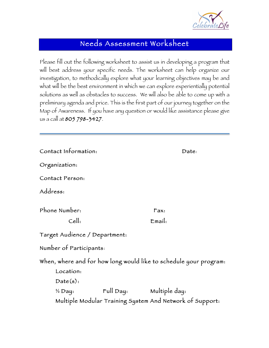

## Needs Assessment Worksheet

Please fill out the following worksheet to assist us in developing a program that will best address your specific needs. The worksheet can help organize our investigation, to methodically explore what your learning objectives may be and what will be the best environment in which we can explore experientially potential solutions as well as obstacles to success. We will also be able to come up with a preliminary agenda and price. This is the first part of our journey together on the Map of Awareness. If you have any question or would like assistance please give us a call at 805 798-3427.

| Contact Information:                                                                       |  |        | Date: |
|--------------------------------------------------------------------------------------------|--|--------|-------|
| Organization:                                                                              |  |        |       |
| Contact Person:                                                                            |  |        |       |
| Address:                                                                                   |  |        |       |
| Phone Number:                                                                              |  | Fax:   |       |
| Cell:                                                                                      |  | Email: |       |
| Target Audíence / Department:                                                              |  |        |       |
| Number of Participants:                                                                    |  |        |       |
| When, where and for how long would like to schedule your program:<br>Location:<br>Date(s): |  |        |       |
| $\frac{1}{2}$ Day:                                                                         |  |        |       |
| Multiple Modular Training System And Network of Support:                                   |  |        |       |